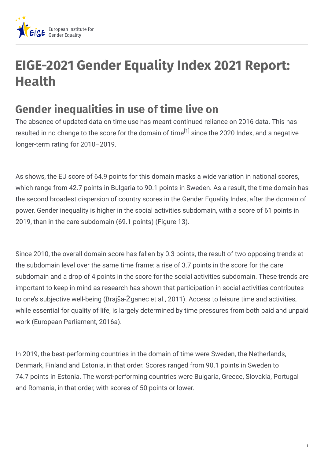

## **EIGE-2021 Gender Equality Index 2021 Report: Health**

## **Gender inequalities in use of time live on**

The absence of updated data on time use has meant continued reliance on 2016 data. This has resulted in no change to the score for the domain of time<sup>[1]</sup> since the 2020 Index, and a negative longer-term rating for 2010–2019.

As shows, the EU score of 64.9 points for this domain masks a wide variation in national scores, which range from 42.7 points in Bulgaria to 90.1 points in Sweden. As a result, the time domain has the second broadest dispersion of country scores in the Gender Equality Index, after the domain of power. Gender inequality is higher in the social activities subdomain, with a score of 61 points in 2019, than in the care subdomain (69.1 points) (Figure 13).

Since 2010, the overall domain score has fallen by 0.3 points, the result of two opposing trends at the subdomain level over the same time frame: a rise of 3.7 points in the score for the care subdomain and a drop of 4 points in the score for the social activities subdomain. These trends are important to keep in mind as research has shown that participation in social activities contributes to one's subjective well-being (Brajša-Žganec et al., 2011). Access to leisure time and activities, while essential for quality of life, is largely determined by time pressures from both paid and unpaid work (European Parliament, 2016a).

In 2019, the best-performing countries in the domain of time were Sweden, the Netherlands, Denmark, Finland and Estonia, in that order. Scores ranged from 90.1 points in Sweden to 74.7 points in Estonia. The worst-performing countries were Bulgaria, Greece, Slovakia, Portugal and Romania, in that order, with scores of 50 points or lower.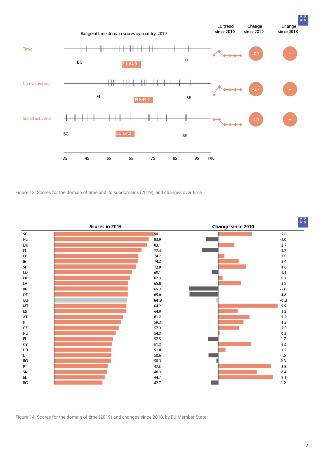

Figure 13. Scores for the domain of time and its subdomains (2019), and changes over time



Figure 14. Scores for the domain of time (2019) and changes since 2010, by EU Member State